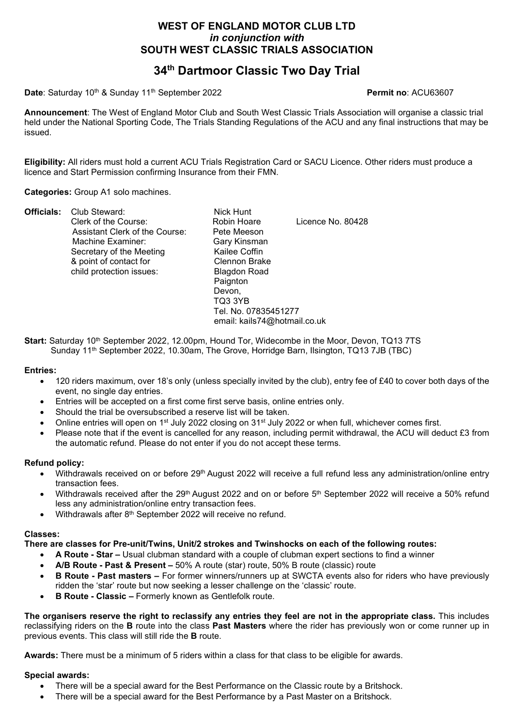## WEST OF ENGLAND MOTOR CLUB LTD in conjunction with SOUTH WEST CLASSIC TRIALS ASSOCIATION

# 34<sup>th</sup> Dartmoor Classic Two Day Trial

Date: Saturday 10<sup>th</sup> & Sunday 11<sup>th</sup> September 2022 **Permit no: ACU63607** 

Announcement: The West of England Motor Club and South West Classic Trials Association will organise a classic trial held under the National Sporting Code, The Trials Standing Regulations of the ACU and any final instructions that may be issued.

Eligibility: All riders must hold a current ACU Trials Registration Card or SACU Licence. Other riders must produce a licence and Start Permission confirming Insurance from their FMN.

Categories: Group A1 solo machines.

| Clerk of the Course:<br>Assistant Clerk of the Course:<br>Machine Examiner:<br>Secretary of the Meeting<br>& point of contact for<br>child protection issues: | Robin Hoare<br>Licence No. 80428<br>Pete Meeson<br>Gary Kinsman<br>Kailee Coffin<br>Clennon Brake<br><b>Blagdon Road</b><br>Paignton<br>Devon,<br>TQ3 3YB<br>Tel. No. 07835451277<br>email: kails74@hotmail.co.uk |
|---------------------------------------------------------------------------------------------------------------------------------------------------------------|-------------------------------------------------------------------------------------------------------------------------------------------------------------------------------------------------------------------|
|---------------------------------------------------------------------------------------------------------------------------------------------------------------|-------------------------------------------------------------------------------------------------------------------------------------------------------------------------------------------------------------------|

Start: Saturday 10<sup>th</sup> September 2022, 12.00pm, Hound Tor, Widecombe in the Moor, Devon, TQ13 7TS Sunday 11<sup>th</sup> September 2022, 10.30am, The Grove, Horridge Barn, Ilsington, TQ13 7JB (TBC)

#### Entries:

- 120 riders maximum, over 18's only (unless specially invited by the club), entry fee of £40 to cover both days of the event, no single day entries.
- Entries will be accepted on a first come first serve basis, online entries only.
- Should the trial be oversubscribed a reserve list will be taken.
- Online entries will open on 1<sup>st</sup> July 2022 closing on 31<sup>st</sup> July 2022 or when full, whichever comes first.
- Please note that if the event is cancelled for any reason, including permit withdrawal, the ACU will deduct £3 from the automatic refund. Please do not enter if you do not accept these terms.

### Refund policy:

- Withdrawals received on or before 29<sup>th</sup> August 2022 will receive a full refund less any administration/online entry transaction fees.
- Withdrawals received after the 29<sup>th</sup> August 2022 and on or before 5<sup>th</sup> September 2022 will receive a 50% refund less any administration/online entry transaction fees.
- Withdrawals after 8<sup>th</sup> September 2022 will receive no refund.

#### Classes:

There are classes for Pre-unit/Twins, Unit/2 strokes and Twinshocks on each of the following routes:

- A Route Star Usual clubman standard with a couple of clubman expert sections to find a winner
- A/B Route Past & Present 50% A route (star) route, 50% B route (classic) route
- B Route Past masters For former winners/runners up at SWCTA events also for riders who have previously ridden the 'star' route but now seeking a lesser challenge on the 'classic' route.
- B Route Classic Formerly known as Gentlefolk route.

The organisers reserve the right to reclassify any entries they feel are not in the appropriate class. This includes reclassifying riders on the **B** route into the class **Past Masters** where the rider has previously won or come runner up in previous events. This class will still ride the B route.

Awards: There must be a minimum of 5 riders within a class for that class to be eligible for awards.

#### Special awards:

- There will be a special award for the Best Performance on the Classic route by a Britshock.
- There will be a special award for the Best Performance by a Past Master on a Britshock.